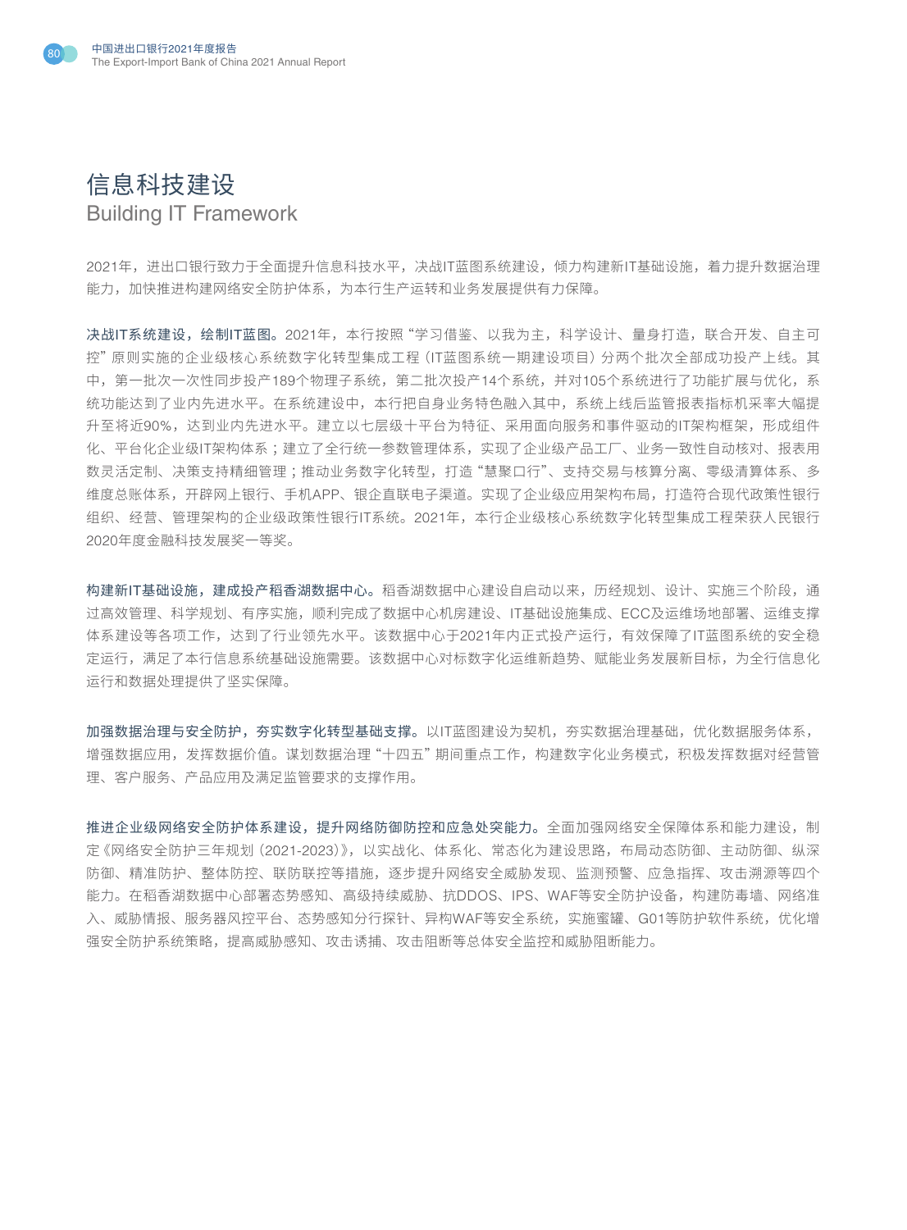



2021年,进出口银行致力于全面提升信息科技水平,决战IT蓝图系统建设,倾力构建新IT基础设施,着力提升数据治理 能力,加快推进构建网络安全防护体系,为本行生产运转和业务发展提供有力保障。

决战IT系统建设,绘制IT蓝图。2021年,本行按照"学习借鉴、以我为主,科学设计、量身打造,联合开发、自主可 控"原则实施的企业级核心系统数字化转型集成工程(IT蓝图系统一期建设项目)分两个批次全部成功投产上线。其 中,第一批次一次性同步投产189个物理子系统,第二批次投产14个系统,并对105个系统进行了功能扩展与优化,系 统功能达到了业内先进水平。在系统建设中,本行把自身业务特色融入其中,系统上线后监管报表指标机采率大幅提 升至将近90%,达到业内先进水平。建立以七层级十平台为特征、采用面向服务和事件驱动的IT架构框架,形成组件 化、平台化企业级IT架构体系;建立了全行统一参数管理体系,实现了企业级产品工厂、业务一致性自动核对、报表用 数灵活定制、决策支持精细管理 ;推动业务数字化转型,打造"慧聚口行"、支持交易与核算分离、零级清算体系、多 维度总账体系,开辟网上银行、手机APP、银企直联电子渠道。实现了企业级应用架构布局,打造符合现代政策性银行 组织、经营、管理架构的企业级政策性银行IT系统。2021年,本行企业级核心系统数字化转型集成工程荣获人民银行 2020年度金融科技发展奖一等奖。

构建新IT基础设施,建成投产稻香湖数据中心。稻香湖数据中心建设自启动以来,历经规划、设计、实施三个阶段,通 过高效管理、科学规划、有序实施,顺利完成了数据中心机房建设、IT基础设施集成、ECC及运维场地部署、运维支撑 体系建设等各项工作,达到了行业领先水平。该数据中心于2021年内正式投产运行,有效保障了IT蓝图系统的安全稳 定运行,满足了本行信息系统基础设施需要。该数据中心对标数字化运维新趋势、赋能业务发展新目标,为全行信息化 运行和数据处理提供了坚实保障。

加强数据治理与安全防护,夯实数字化转型基础支撑。以IT蓝图建设为契机,夯实数据治理基础,优化数据服务体系, 增强数据应用,发挥数据价值。谋划数据治理"十四五"期间重点工作,构建数字化业务模式,积极发挥数据对经营管 理、客户服务、产品应用及满足监管要求的支撑作用。

推进企业级网络安全防护体系建设,提升网络防御防控和应急处突能力。全面加强网络安全保障体系和能力建设,制 定《网络安全防护三年规划(2021-2023)》,以实战化、体系化、常态化为建设思路,布局动态防御、主动防御、纵深 防御、精准防护、整体防控、联防联控等措施,逐步提升网络安全威胁发现、监测预警、应急指挥、攻击溯源等四个 能力。在稻香湖数据中心部署态势感知、高级持续威胁、抗DDOS、IPS、WAF等安全防护设备,构建防毒墙、网络准 入、威胁情报、服务器风控平台、态势感知分行探针、异构WAF等安全系统,实施蜜罐、G01等防护软件系统,优化增 强安全防护系统策略,提高威胁感知、攻击诱捕、攻击阻断等总体安全监控和威胁阻断能力。